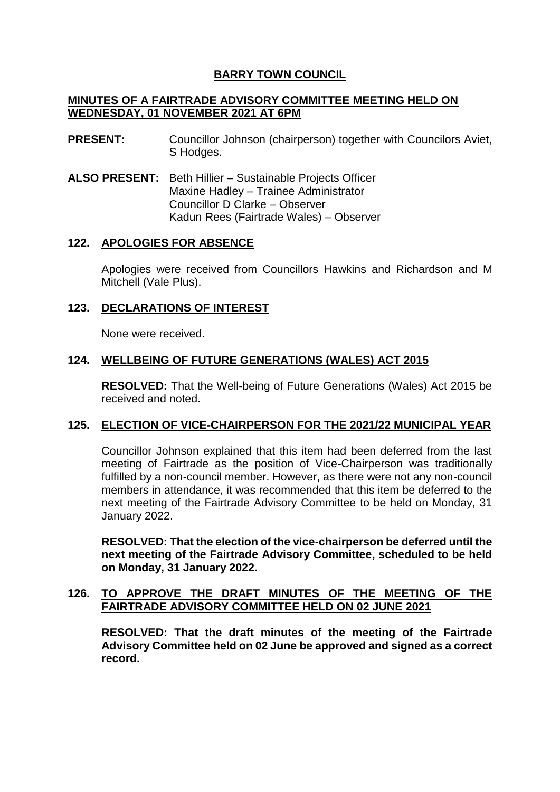# **BARRY TOWN COUNCIL**

### **MINUTES OF A FAIRTRADE ADVISORY COMMITTEE MEETING HELD ON WEDNESDAY, 01 NOVEMBER 2021 AT 6PM**

- **PRESENT:** Councillor Johnson (chairperson) together with Councilors Aviet, S Hodges.
- **ALSO PRESENT:** Beth Hillier Sustainable Projects Officer Maxine Hadley – Trainee Administrator Councillor D Clarke – Observer Kadun Rees (Fairtrade Wales) – Observer

## **122. APOLOGIES FOR ABSENCE**

Apologies were received from Councillors Hawkins and Richardson and M Mitchell (Vale Plus).

## **123. DECLARATIONS OF INTEREST**

None were received.

## **124. WELLBEING OF FUTURE GENERATIONS (WALES) ACT 2015**

**RESOLVED:** That the Well-being of Future Generations (Wales) Act 2015 be received and noted.

## **125. ELECTION OF VICE-CHAIRPERSON FOR THE 2021/22 MUNICIPAL YEAR**

Councillor Johnson explained that this item had been deferred from the last meeting of Fairtrade as the position of Vice-Chairperson was traditionally fulfilled by a non-council member. However, as there were not any non-council members in attendance, it was recommended that this item be deferred to the next meeting of the Fairtrade Advisory Committee to be held on Monday, 31 January 2022.

**RESOLVED: That the election of the vice-chairperson be deferred until the next meeting of the Fairtrade Advisory Committee, scheduled to be held on Monday, 31 January 2022.**

### **126. TO APPROVE THE DRAFT MINUTES OF THE MEETING OF THE FAIRTRADE ADVISORY COMMITTEE HELD ON 02 JUNE 2021**

**RESOLVED: That the draft minutes of the meeting of the Fairtrade Advisory Committee held on 02 June be approved and signed as a correct record.**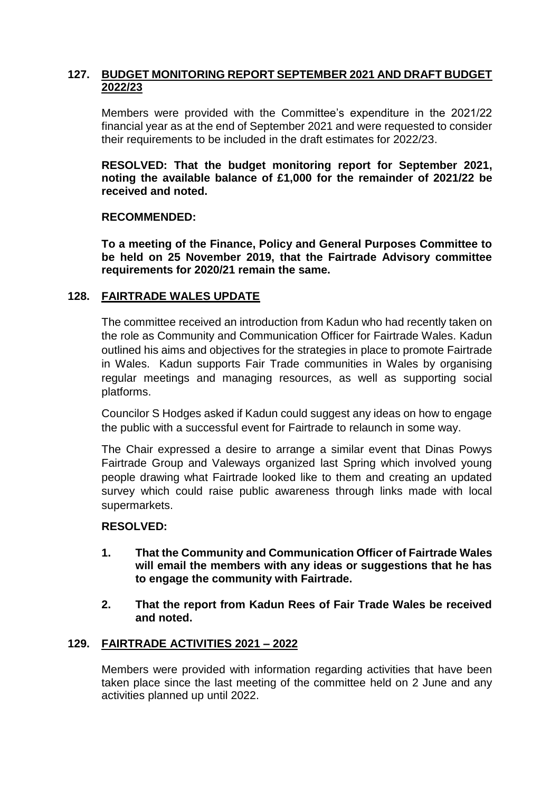## **127. BUDGET MONITORING REPORT SEPTEMBER 2021 AND DRAFT BUDGET 2022/23**

Members were provided with the Committee's expenditure in the 2021/22 financial year as at the end of September 2021 and were requested to consider their requirements to be included in the draft estimates for 2022/23.

**RESOLVED: That the budget monitoring report for September 2021, noting the available balance of £1,000 for the remainder of 2021/22 be received and noted.**

#### **RECOMMENDED:**

**To a meeting of the Finance, Policy and General Purposes Committee to be held on 25 November 2019, that the Fairtrade Advisory committee requirements for 2020/21 remain the same.**

## **128. FAIRTRADE WALES UPDATE**

The committee received an introduction from Kadun who had recently taken on the role as Community and Communication Officer for Fairtrade Wales. Kadun outlined his aims and objectives for the strategies in place to promote Fairtrade in Wales. Kadun supports Fair Trade communities in Wales by organising regular meetings and managing resources, as well as supporting social platforms.

Councilor S Hodges asked if Kadun could suggest any ideas on how to engage the public with a successful event for Fairtrade to relaunch in some way.

The Chair expressed a desire to arrange a similar event that Dinas Powys Fairtrade Group and Valeways organized last Spring which involved young people drawing what Fairtrade looked like to them and creating an updated survey which could raise public awareness through links made with local supermarkets.

## **RESOLVED:**

- **1. That the Community and Communication Officer of Fairtrade Wales will email the members with any ideas or suggestions that he has to engage the community with Fairtrade.**
- **2. That the report from Kadun Rees of Fair Trade Wales be received and noted.**

## **129. FAIRTRADE ACTIVITIES 2021 – 2022**

Members were provided with information regarding activities that have been taken place since the last meeting of the committee held on 2 June and any activities planned up until 2022.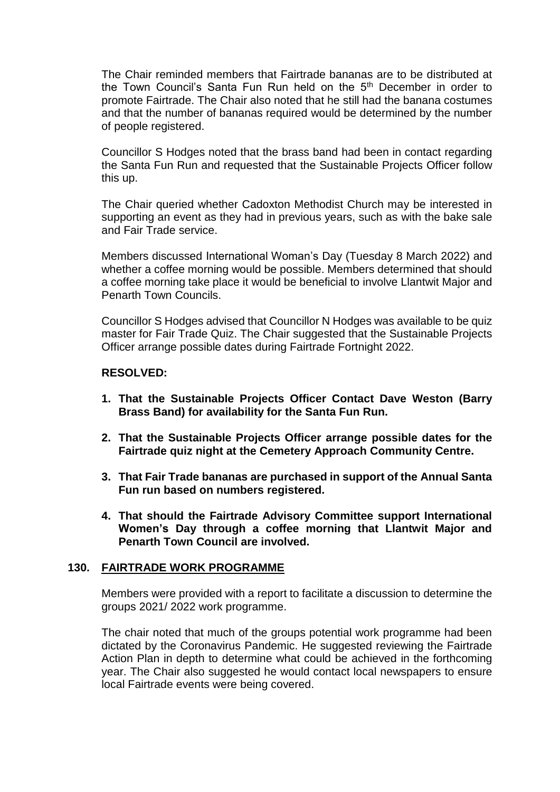The Chair reminded members that Fairtrade bananas are to be distributed at the Town Council's Santa Fun Run held on the 5th December in order to promote Fairtrade. The Chair also noted that he still had the banana costumes and that the number of bananas required would be determined by the number of people registered.

Councillor S Hodges noted that the brass band had been in contact regarding the Santa Fun Run and requested that the Sustainable Projects Officer follow this up.

The Chair queried whether Cadoxton Methodist Church may be interested in supporting an event as they had in previous years, such as with the bake sale and Fair Trade service.

Members discussed International Woman's Day (Tuesday 8 March 2022) and whether a coffee morning would be possible. Members determined that should a coffee morning take place it would be beneficial to involve Llantwit Major and Penarth Town Councils.

Councillor S Hodges advised that Councillor N Hodges was available to be quiz master for Fair Trade Quiz. The Chair suggested that the Sustainable Projects Officer arrange possible dates during Fairtrade Fortnight 2022.

### **RESOLVED:**

- **1. That the Sustainable Projects Officer Contact Dave Weston (Barry Brass Band) for availability for the Santa Fun Run.**
- **2. That the Sustainable Projects Officer arrange possible dates for the Fairtrade quiz night at the Cemetery Approach Community Centre.**
- **3. That Fair Trade bananas are purchased in support of the Annual Santa Fun run based on numbers registered.**
- **4. That should the Fairtrade Advisory Committee support International Women's Day through a coffee morning that Llantwit Major and Penarth Town Council are involved.**

#### **130. FAIRTRADE WORK PROGRAMME**

Members were provided with a report to facilitate a discussion to determine the groups 2021/ 2022 work programme.

The chair noted that much of the groups potential work programme had been dictated by the Coronavirus Pandemic. He suggested reviewing the Fairtrade Action Plan in depth to determine what could be achieved in the forthcoming year. The Chair also suggested he would contact local newspapers to ensure local Fairtrade events were being covered.